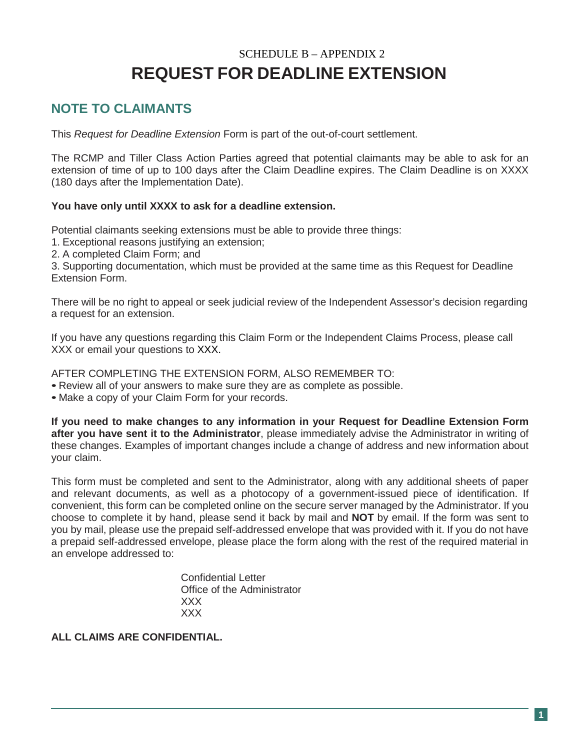# SCHEDULE B – APPENDIX 2 **REQUEST FOR DEADLINE EXTENSION**

### **NOTE TO CLAIMANTS**

This *Request for Deadline Extension* Form is part of the out-of-court settlement.

The RCMP and Tiller Class Action Parties agreed that potential claimants may be able to ask for an extension of time of up to 100 days after the Claim Deadline expires. The Claim Deadline is on XXXX (180 days after the Implementation Date).

#### **You have only until XXXX to ask for a deadline extension.**

Potential claimants seeking extensions must be able to provide three things:

- 1. Exceptional reasons justifying an extension;
- 2. A completed Claim Form; and

3. Supporting documentation, which must be provided at the same time as this Request for Deadline Extension Form.

There will be no right to appeal or seek judicial review of the Independent Assessor's decision regarding a request for an extension.

If you have any questions regarding this Claim Form or the Independent Claims Process, please call XXX or email your questions to XXX.

AFTER COMPLETING THE EXTENSION FORM, ALSO REMEMBER TO:

- Review all of your answers to make sure they are as complete as possible.
- Make a copy of your Claim Form for your records.

**If you need to make changes to any information in your Request for Deadline Extension Form after you have sent it to the Administrator**, please immediately advise the Administrator in writing of these changes. Examples of important changes include a change of address and new information about your claim.

This form must be completed and sent to the Administrator, along with any additional sheets of paper and relevant documents, as well as a photocopy of a government-issued piece of identification. If convenient, this form can be completed online on the secure server managed by the Administrator. If you choose to complete it by hand, please send it back by mail and **NOT** by email. If the form was sent to you by mail, please use the prepaid self-addressed envelope that was provided with it. If you do not have a prepaid self-addressed envelope, please place the form along with the rest of the required material in an envelope addressed to:

> Confidential Letter Office of the Administrator XXX XXX

**ALL CLAIMS ARE CONFIDENTIAL.**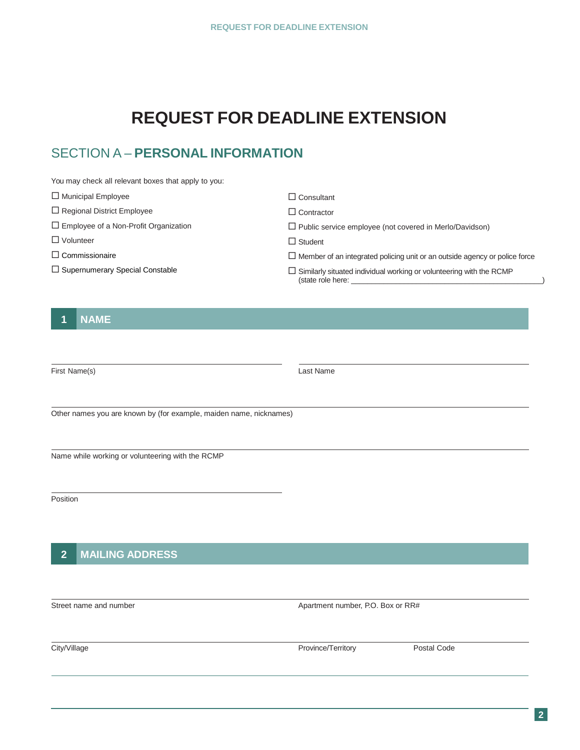# **REQUEST FOR DEADLINE EXTENSION**

## SECTION A – **PERSONAL INFORMATION**

| You may check all relevant boxes that apply to you: |                                                                                                 |  |  |  |
|-----------------------------------------------------|-------------------------------------------------------------------------------------------------|--|--|--|
| $\Box$ Municipal Employee                           | $\Box$ Consultant                                                                               |  |  |  |
| $\Box$ Regional District Employee                   | $\Box$ Contractor                                                                               |  |  |  |
| $\Box$ Employee of a Non-Profit Organization        | $\Box$ Public service employee (not covered in Merlo/Davidson)                                  |  |  |  |
| $\Box$ Volunteer                                    | $\Box$ Student                                                                                  |  |  |  |
| $\Box$ Commissionaire                               | $\Box$ Member of an integrated policing unit or an outside agency or police force               |  |  |  |
| $\Box$ Supernumerary Special Constable              | $\Box$ Similarly situated individual working or volunteering with the RCMP<br>(state role here: |  |  |  |

#### **1 NAME**

First Name(s) Last Name

Other names you are known by (for example, maiden name, nicknames)

Name while working or volunteering with the RCMP

**Position** 

#### **2 MAILING ADDRESS**

Street name and number **Apartment number** Apartment number, P.O. Box or RR#

City/Village **Province/Territory** Province/Territory Postal Code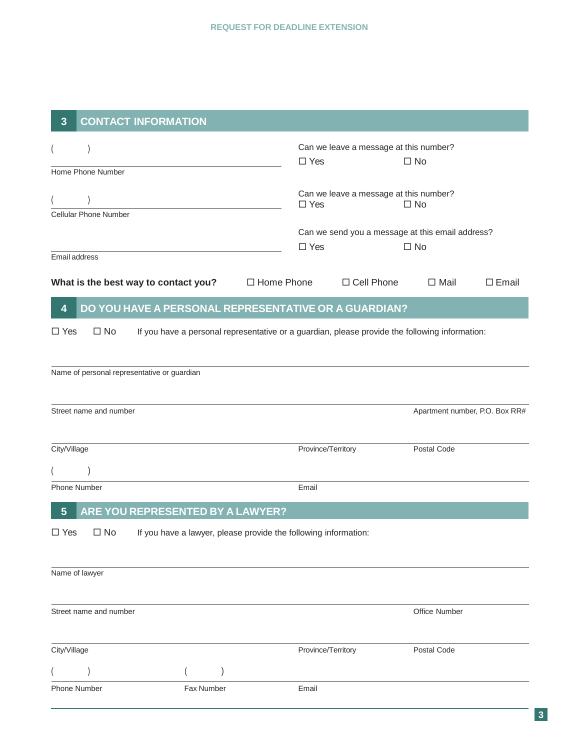| $\overline{3}$                                                                                                               |                        | <b>CONTACT INFORMATION</b>                             |  |                                                                                   |              |                                |              |  |  |
|------------------------------------------------------------------------------------------------------------------------------|------------------------|--------------------------------------------------------|--|-----------------------------------------------------------------------------------|--------------|--------------------------------|--------------|--|--|
| $\overline{ }$                                                                                                               | Home Phone Number      |                                                        |  | Can we leave a message at this number?<br>$\square$ No<br>$\square$ Yes           |              |                                |              |  |  |
| Cellular Phone Number                                                                                                        |                        |                                                        |  | Can we leave a message at this number?<br>$\Box$ Yes<br>$\square$ No              |              |                                |              |  |  |
| Email address                                                                                                                |                        |                                                        |  | Can we send you a message at this email address?<br>$\square$ Yes<br>$\square$ No |              |                                |              |  |  |
|                                                                                                                              |                        | What is the best way to contact you? $\Box$ Home Phone |  |                                                                                   | □ Cell Phone | $\Box$ Mail                    | $\Box$ Email |  |  |
| DO YOU HAVE A PERSONAL REPRESENTATIVE OR A GUARDIAN?<br>$\overline{\mathbf{4}}$                                              |                        |                                                        |  |                                                                                   |              |                                |              |  |  |
| $\square$ No<br>$\Box$ Yes<br>If you have a personal representative or a guardian, please provide the following information: |                        |                                                        |  |                                                                                   |              |                                |              |  |  |
|                                                                                                                              |                        | Name of personal representative or guardian            |  |                                                                                   |              |                                |              |  |  |
|                                                                                                                              | Street name and number |                                                        |  |                                                                                   |              | Apartment number, P.O. Box RR# |              |  |  |
| City/Village                                                                                                                 |                        |                                                        |  | Province/Territory                                                                |              | Postal Code                    |              |  |  |
| $5\overline{)}$                                                                                                              | Phone Number           | ARE YOU REPRESENTED BY A LAWYER?                       |  | Email                                                                             |              |                                |              |  |  |
| $\Box$ Yes<br>$\square$ No<br>If you have a lawyer, please provide the following information:                                |                        |                                                        |  |                                                                                   |              |                                |              |  |  |
|                                                                                                                              | Name of lawyer         |                                                        |  |                                                                                   |              |                                |              |  |  |
|                                                                                                                              | Street name and number |                                                        |  |                                                                                   |              | Office Number                  |              |  |  |
| City/Village                                                                                                                 |                        |                                                        |  | Province/Territory                                                                |              | Postal Code                    |              |  |  |
|                                                                                                                              |                        |                                                        |  |                                                                                   |              |                                |              |  |  |
| <b>Phone Number</b>                                                                                                          |                        | Fax Number                                             |  | Email                                                                             |              |                                |              |  |  |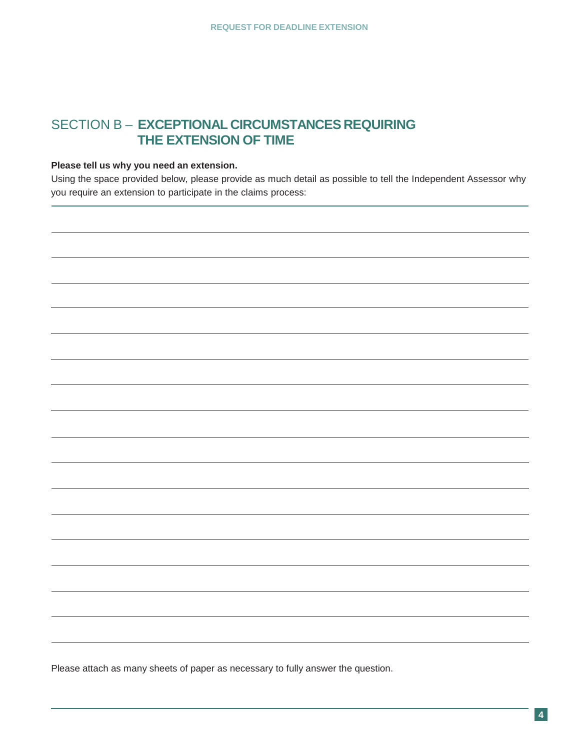#### SECTION B – **EXCEPTIONAL CIRCUMSTANCES REQUIRING THE EXTENSION OF TIME**

#### **Please tell us why you need an extension.**

Using the space provided below, please provide as much detail as possible to tell the Independent Assessor why you require an extension to participate in the claims process:

Please attach as many sheets of paper as necessary to fully answer the question.